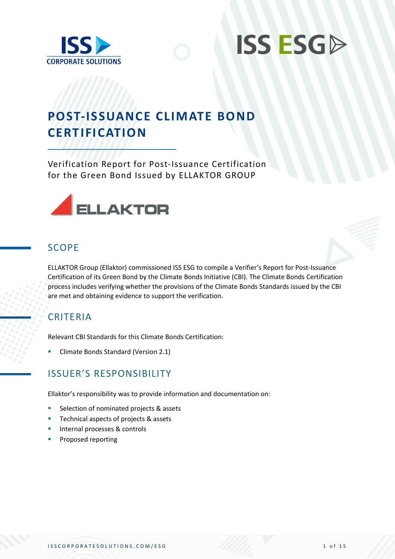



## **POST-ISSUANCE CLIMATE BOND CERTIFICATION**

Verification Report for Post-Issuance Certification for the Green Bond Issued by ELLAKTOR GROUP



#### **SCOPE**

ELLAKTOR Group (Ellaktor) commissioned ISS ESG to compile a Verifier's Report for Post-Issuance Certification of its Green Bond by the Climate Bonds Initiative (CBI). The Climate Bonds Certification process includes verifying whether the provisions of the Climate Bonds Standards issued by the CBI are met and obtaining evidence to support the verification.

#### CRITERIA

Relevant CBI Standards for this Climate Bonds Certification:

**E** Climate Bonds Standard (Version 2.1)

#### ISSUER'S RESPONSIBILITY

Ellaktor's responsibility was to provide information and documentation on:

- Selection of nominated projects & assets
- Technical aspects of projects & assets
- Internal processes & controls
- Proposed reporting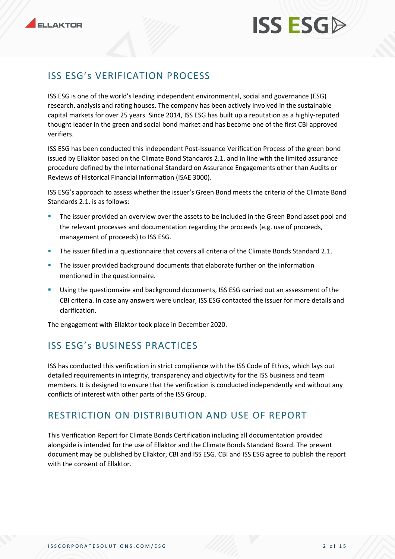## ISS ESG's VERIFICATION PROCESS

ISS ESG is one of the world's leading independent environmental, social and governance (ESG) research, analysis and rating houses. The company has been actively involved in the sustainable capital markets for over 25 years. Since 2014, ISS ESG has built up a reputation as a highly-reputed thought leader in the green and social bond market and has become one of the first CBI approved verifiers.

ISS ESG has been conducted this independent Post-Issuance Verification Process of the green bond issued by Ellaktor based on the Climate Bond Standards 2.1. and in line with the limited assurance procedure defined by the International Standard on Assurance Engagements other than Audits or Reviews of Historical Financial Information (ISAE 3000).

ISS ESG's approach to assess whether the issuer's Green Bond meets the criteria of the Climate Bond Standards 2.1. is as follows:

- The issuer provided an overview over the assets to be included in the Green Bond asset pool and the relevant processes and documentation regarding the proceeds (e.g. use of proceeds, management of proceeds) to ISS ESG.
- The issuer filled in a questionnaire that covers all criteria of the Climate Bonds Standard 2.1.
- **•** The issuer provided background documents that elaborate further on the information mentioned in the questionnaire.
- **EXECUTE:** Using the questionnaire and background documents, ISS ESG carried out an assessment of the CBI criteria. In case any answers were unclear, ISS ESG contacted the issuer for more details and clarification.

The engagement with Ellaktor took place in December 2020.

## ISS ESG's BUSINESS PRACTICES

ISS has conducted this verification in strict compliance with the ISS Code of Ethics, which lays out detailed requirements in integrity, transparency and objectivity for the ISS business and team members. It is designed to ensure that the verification is conducted independently and without any conflicts of interest with other parts of the ISS Group.

#### RESTRICTION ON DISTRIBUTION AND USE OF REPORT

This Verification Report for Climate Bonds Certification including all documentation provided alongside is intended for the use of Ellaktor and the Climate Bonds Standard Board. The present document may be published by Ellaktor, CBI and ISS ESG. CBI and ISS ESG agree to publish the report with the consent of Ellaktor.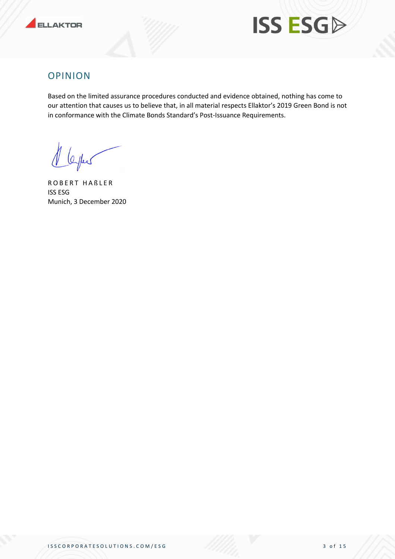



#### OPINION

Based on the limited assurance procedures conducted and evidence obtained, nothing has come to our attention that causes us to believe that, in all material respects Ellaktor's 2019 Green Bond is not in conformance with the Climate Bonds Standard's Post-Issuance Requirements.

1 leyles

ROBERT HABLER ISS ESG Munich, 3 December 2020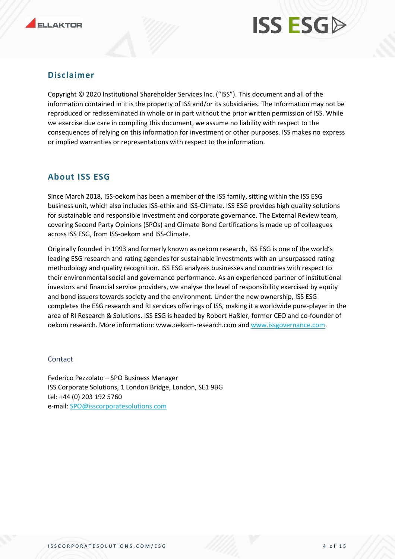

#### **Disclaimer**

Copyright © 2020 Institutional Shareholder Services Inc. ("ISS"). This document and all of the information contained in it is the property of ISS and/or its subsidiaries. The Information may not be reproduced or redisseminated in whole or in part without the prior written permission of ISS. While we exercise due care in compiling this document, we assume no liability with respect to the consequences of relying on this information for investment or other purposes. ISS makes no express or implied warranties or representations with respect to the information.

#### **About ISS ESG**

Since March 2018, ISS-oekom has been a member of the ISS family, sitting within the ISS ESG business unit, which also includes ISS-ethix and ISS-Climate. ISS ESG provides high quality solutions for sustainable and responsible investment and corporate governance. The External Review team, covering Second Party Opinions (SPOs) and Climate Bond Certifications is made up of colleagues across ISS ESG, from ISS-oekom and ISS-Climate.

Originally founded in 1993 and formerly known as oekom research, ISS ESG is one of the world's leading ESG research and rating agencies for sustainable investments with an unsurpassed rating methodology and quality recognition. ISS ESG analyzes businesses and countries with respect to their environmental social and governance performance. As an experienced partner of institutional investors and financial service providers, we analyse the level of responsibility exercised by equity and bond issuers towards society and the environment. Under the new ownership, ISS ESG completes the ESG research and RI services offerings of ISS, making it a worldwide pure-player in the area of RI Research & Solutions. ISS ESG is headed by Robert Haßler, former CEO and co-founder of oekom research. More information: www.oekom-research.com and [www.issgovernance.com.](http://www.issgovernance.com/)

#### **Contact**

Federico Pezzolato – SPO Business Manager ISS Corporate Solutions, 1 London Bridge, London, SE1 9BG tel: +44 (0) 203 192 5760 e-mail: [SPO@isscorporatesolutions.com](mailto:SPO@isscorporatesolutions.com)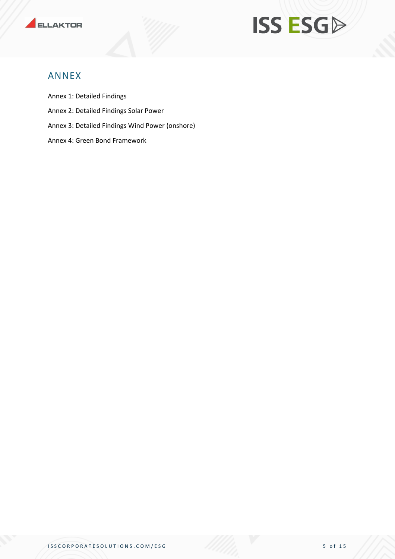



#### ANNEX

Annex 1: Detailed Findings

- Annex 2: Detailed Findings Solar Power
- Annex 3: Detailed Findings Wind Power (onshore)
- Annex 4: Green Bond Framework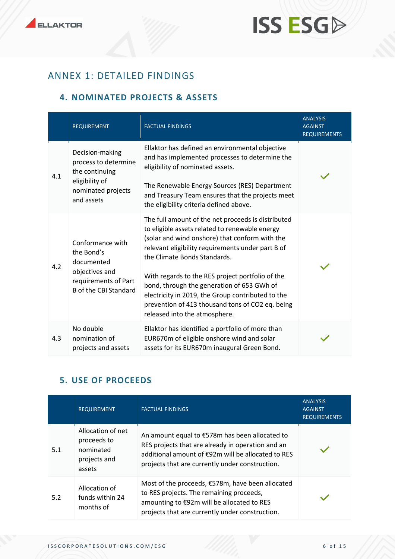## ANNEX 1: DETAILED FINDINGS

#### **4. NOMINATED PROJECTS & ASSETS**

|     | <b>REQUIREMENT</b>                                                                                                     | <b>FACTUAL FINDINGS</b>                                                                                                                                                                                                                                                                                                                                                                                                                                                                 | <b>ANALYSIS</b><br><b>AGAINST</b><br><b>REQUIREMENTS</b> |
|-----|------------------------------------------------------------------------------------------------------------------------|-----------------------------------------------------------------------------------------------------------------------------------------------------------------------------------------------------------------------------------------------------------------------------------------------------------------------------------------------------------------------------------------------------------------------------------------------------------------------------------------|----------------------------------------------------------|
| 4.1 | Decision-making<br>process to determine<br>the continuing<br>eligibility of<br>nominated projects<br>and assets        | Ellaktor has defined an environmental objective<br>and has implemented processes to determine the<br>eligibility of nominated assets.<br>The Renewable Energy Sources (RES) Department<br>and Treasury Team ensures that the projects meet<br>the eligibility criteria defined above.                                                                                                                                                                                                   |                                                          |
| 4.2 | Conformance with<br>the Bond's<br>documented<br>objectives and<br>requirements of Part<br><b>B</b> of the CBI Standard | The full amount of the net proceeds is distributed<br>to eligible assets related to renewable energy<br>(solar and wind onshore) that conform with the<br>relevant eligibility requirements under part B of<br>the Climate Bonds Standards.<br>With regards to the RES project portfolio of the<br>bond, through the generation of 653 GWh of<br>electricity in 2019, the Group contributed to the<br>prevention of 413 thousand tons of CO2 eq. being<br>released into the atmosphere. |                                                          |
| 4.3 | No double<br>nomination of<br>projects and assets                                                                      | Ellaktor has identified a portfolio of more than<br>EUR670m of eligible onshore wind and solar<br>assets for its EUR670m inaugural Green Bond.                                                                                                                                                                                                                                                                                                                                          |                                                          |

#### **5. USE OF PROCEEDS**

|     | <b>REQUIREMENT</b>                                                      | <b>FACTUAL FINDINGS</b>                                                                                                                                                                                      | <b>ANALYSIS</b><br><b>AGAINST</b><br><b>REQUIREMENTS</b> |
|-----|-------------------------------------------------------------------------|--------------------------------------------------------------------------------------------------------------------------------------------------------------------------------------------------------------|----------------------------------------------------------|
| 5.1 | Allocation of net<br>proceeds to<br>nominated<br>projects and<br>assets | An amount equal to €578m has been allocated to<br>RES projects that are already in operation and an<br>additional amount of €92m will be allocated to RES<br>projects that are currently under construction. |                                                          |
| 5.2 | Allocation of<br>funds within 24<br>months of                           | Most of the proceeds, €578m, have been allocated<br>to RES projects. The remaining proceeds,<br>amounting to €92m will be allocated to RES<br>projects that are currently under construction.                |                                                          |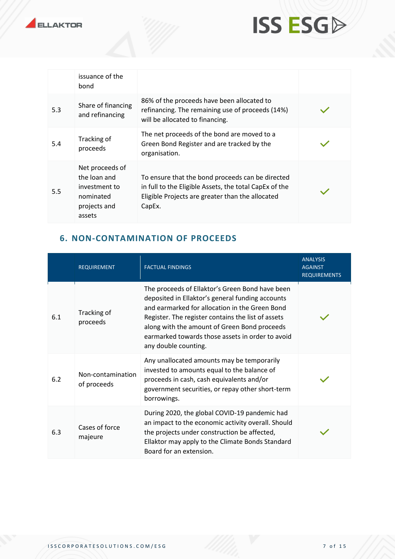



|     | issuance of the<br>bond                                                                 |                                                                                                                                                                          |  |
|-----|-----------------------------------------------------------------------------------------|--------------------------------------------------------------------------------------------------------------------------------------------------------------------------|--|
| 5.3 | Share of financing<br>and refinancing                                                   | 86% of the proceeds have been allocated to<br>refinancing. The remaining use of proceeds (14%)<br>will be allocated to financing.                                        |  |
| 5.4 | Tracking of<br>proceeds                                                                 | The net proceeds of the bond are moved to a<br>Green Bond Register and are tracked by the<br>organisation.                                                               |  |
| 5.5 | Net proceeds of<br>the loan and<br>investment to<br>nominated<br>projects and<br>assets | To ensure that the bond proceeds can be directed<br>in full to the Eligible Assets, the total CapEx of the<br>Eligible Projects are greater than the allocated<br>CapEx. |  |

#### **6. NON-CONTAMINATION OF PROCEEDS**

|     | <b>REQUIREMENT</b>               | <b>FACTUAL FINDINGS</b>                                                                                                                                                                                                                                                                                                                 | <b>ANALYSIS</b><br><b>AGAINST</b><br><b>REQUIREMENTS</b> |
|-----|----------------------------------|-----------------------------------------------------------------------------------------------------------------------------------------------------------------------------------------------------------------------------------------------------------------------------------------------------------------------------------------|----------------------------------------------------------|
| 6.1 | Tracking of<br>proceeds          | The proceeds of Ellaktor's Green Bond have been<br>deposited in Ellaktor's general funding accounts<br>and earmarked for allocation in the Green Bond<br>Register. The register contains the list of assets<br>along with the amount of Green Bond proceeds<br>earmarked towards those assets in order to avoid<br>any double counting. |                                                          |
| 6.2 | Non-contamination<br>of proceeds | Any unallocated amounts may be temporarily<br>invested to amounts equal to the balance of<br>proceeds in cash, cash equivalents and/or<br>government securities, or repay other short-term<br>borrowings.                                                                                                                               |                                                          |
| 6.3 | Cases of force<br>majeure        | During 2020, the global COVID-19 pandemic had<br>an impact to the economic activity overall. Should<br>the projects under construction be affected,<br>Ellaktor may apply to the Climate Bonds Standard<br>Board for an extension.                                                                                                      |                                                          |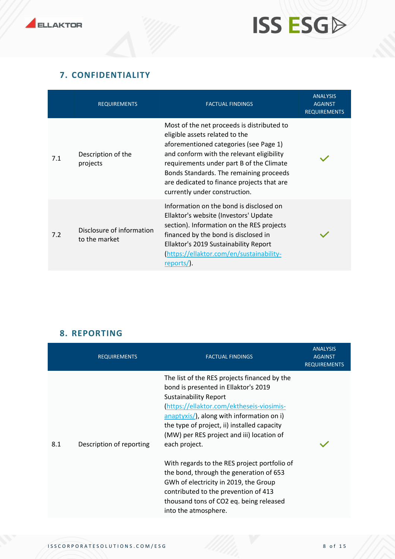#### **7. CONFIDENTIALITY**

|     | <b>REQUIREMENTS</b>                                                                                                                                                                                                                                                                                                   | <b>FACTUAL FINDINGS</b>                                                                                                                                                                                                                                                                                                                   | <b>ANALYSIS</b><br><b>AGAINST</b><br><b>REQUIREMENTS</b> |
|-----|-----------------------------------------------------------------------------------------------------------------------------------------------------------------------------------------------------------------------------------------------------------------------------------------------------------------------|-------------------------------------------------------------------------------------------------------------------------------------------------------------------------------------------------------------------------------------------------------------------------------------------------------------------------------------------|----------------------------------------------------------|
| 7.1 | Description of the<br>projects                                                                                                                                                                                                                                                                                        | Most of the net proceeds is distributed to<br>eligible assets related to the<br>aforementioned categories (see Page 1)<br>and conform with the relevant eligibility<br>requirements under part B of the Climate<br>Bonds Standards. The remaining proceeds<br>are dedicated to finance projects that are<br>currently under construction. |                                                          |
| 7.2 | Information on the bond is disclosed on<br>Ellaktor's website (Investors' Update<br>section). Information on the RES projects<br>Disclosure of information<br>financed by the bond is disclosed in<br>to the market<br>Ellaktor's 2019 Sustainability Report<br>https://ellaktor.com/en/sustainability-<br>reports/). |                                                                                                                                                                                                                                                                                                                                           |                                                          |

#### **8. REPORTING**

|     | <b>REQUIREMENTS</b>      | <b>FACTUAL FINDINGS</b>                                                                                                                                                                                                                                                                                                                                                                                                                                                                                                                                                               | <b>ANALYSIS</b><br><b>AGAINST</b><br><b>REQUIREMENTS</b> |
|-----|--------------------------|---------------------------------------------------------------------------------------------------------------------------------------------------------------------------------------------------------------------------------------------------------------------------------------------------------------------------------------------------------------------------------------------------------------------------------------------------------------------------------------------------------------------------------------------------------------------------------------|----------------------------------------------------------|
| 8.1 | Description of reporting | The list of the RES projects financed by the<br>bond is presented in Ellaktor's 2019<br><b>Sustainability Report</b><br>(https://ellaktor.com/ektheseis-viosimis-<br>$\frac{anaptyxis}{b}$ , along with information on i)<br>the type of project, ii) installed capacity<br>(MW) per RES project and iii) location of<br>each project.<br>With regards to the RES project portfolio of<br>the bond, through the generation of 653<br>GWh of electricity in 2019, the Group<br>contributed to the prevention of 413<br>thousand tons of CO2 eq. being released<br>into the atmosphere. |                                                          |
|     |                          |                                                                                                                                                                                                                                                                                                                                                                                                                                                                                                                                                                                       |                                                          |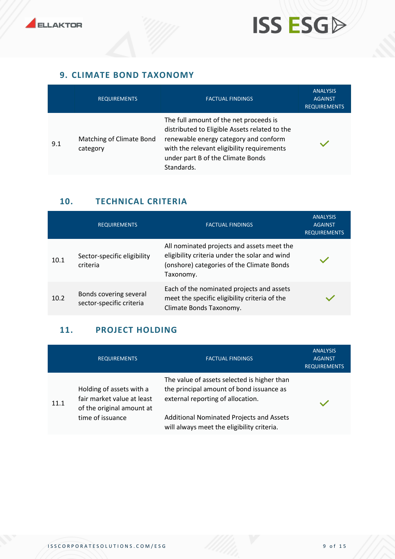



#### **9. CLIMATE BOND TAXONOMY**

|     | <b>REQUIREMENTS</b>                  | <b>FACTUAL FINDINGS</b>                                                                                                                                                                                                           | <b>ANALYSIS</b><br><b>AGAINST</b><br><b>REQUIREMENTS</b> |
|-----|--------------------------------------|-----------------------------------------------------------------------------------------------------------------------------------------------------------------------------------------------------------------------------------|----------------------------------------------------------|
| 9.1 | Matching of Climate Bond<br>category | The full amount of the net proceeds is<br>distributed to Eligible Assets related to the<br>renewable energy category and conform<br>with the relevant eligibility requirements<br>under part B of the Climate Bonds<br>Standards. |                                                          |

#### **10. TECHNICAL CRITERIA**

|      | <b>REQUIREMENTS</b>                                | <b>FACTUAL FINDINGS</b>                                                                                                                               | <b>ANALYSIS</b><br><b>AGAINST</b><br><b>REQUIREMENTS</b> |
|------|----------------------------------------------------|-------------------------------------------------------------------------------------------------------------------------------------------------------|----------------------------------------------------------|
| 10.1 | Sector-specific eligibility<br>criteria            | All nominated projects and assets meet the<br>eligibility criteria under the solar and wind<br>(onshore) categories of the Climate Bonds<br>Taxonomy. |                                                          |
| 10.2 | Bonds covering several<br>sector-specific criteria | Each of the nominated projects and assets<br>meet the specific eligibility criteria of the<br>Climate Bonds Taxonomy.                                 |                                                          |

#### **11. PROJECT HOLDING**

|      | <b>REQUIREMENTS</b>                                                                 | <b>FACTUAL FINDINGS</b>                                                                                                      | <b>ANALYSIS</b><br><b>AGAINST</b><br><b>REQUIREMENTS</b> |
|------|-------------------------------------------------------------------------------------|------------------------------------------------------------------------------------------------------------------------------|----------------------------------------------------------|
| 11.1 | Holding of assets with a<br>fair market value at least<br>of the original amount at | The value of assets selected is higher than<br>the principal amount of bond issuance as<br>external reporting of allocation. |                                                          |
|      | time of issuance                                                                    | Additional Nominated Projects and Assets<br>will always meet the eligibility criteria.                                       |                                                          |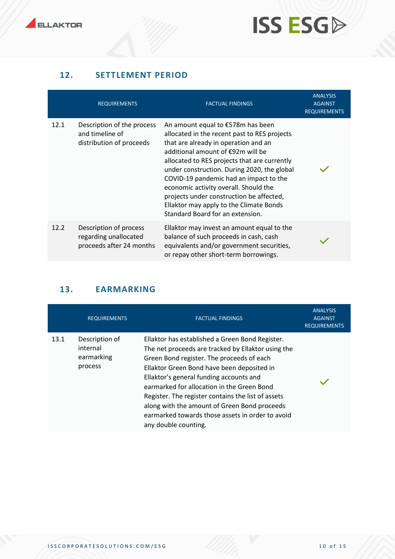

#### **12. SETTLEMENT PERIOD**

|      | <b>REQUIREMENTS</b>                                                         | <b>FACTUAL FINDINGS</b>                                                                                                                                                                                                                                                                                                                                                                                                                                                     | <b>ANALYSIS</b><br><b>AGAINST</b><br><b>REQUIREMENTS</b> |
|------|-----------------------------------------------------------------------------|-----------------------------------------------------------------------------------------------------------------------------------------------------------------------------------------------------------------------------------------------------------------------------------------------------------------------------------------------------------------------------------------------------------------------------------------------------------------------------|----------------------------------------------------------|
| 12.1 | Description of the process<br>and timeline of<br>distribution of proceeds   | An amount equal to €578m has been<br>allocated in the recent past to RES projects<br>that are already in operation and an<br>additional amount of €92m will be<br>allocated to RES projects that are currently<br>under construction. During 2020, the global<br>COVID-19 pandemic had an impact to the<br>economic activity overall. Should the<br>projects under construction be affected,<br>Ellaktor may apply to the Climate Bonds<br>Standard Board for an extension. |                                                          |
| 12.2 | Description of process<br>regarding unallocated<br>proceeds after 24 months | Ellaktor may invest an amount equal to the<br>balance of such proceeds in cash, cash<br>equivalents and/or government securities,<br>or repay other short-term borrowings.                                                                                                                                                                                                                                                                                                  |                                                          |

### **13. EARMARKING**

|      | <b>REQUIREMENTS</b>                                 | <b>FACTUAL FINDINGS</b>                                                                                                                                                                                                                                                                                                                                                                                                                                                     | <b>ANALYSIS</b><br><b>AGAINST</b><br><b>REQUIREMENTS</b> |
|------|-----------------------------------------------------|-----------------------------------------------------------------------------------------------------------------------------------------------------------------------------------------------------------------------------------------------------------------------------------------------------------------------------------------------------------------------------------------------------------------------------------------------------------------------------|----------------------------------------------------------|
| 13.1 | Description of<br>internal<br>earmarking<br>process | Ellaktor has established a Green Bond Register.<br>The net proceeds are tracked by Ellaktor using the<br>Green Bond register. The proceeds of each<br>Ellaktor Green Bond have been deposited in<br>Ellaktor's general funding accounts and<br>earmarked for allocation in the Green Bond<br>Register. The register contains the list of assets<br>along with the amount of Green Bond proceeds<br>earmarked towards those assets in order to avoid<br>any double counting. |                                                          |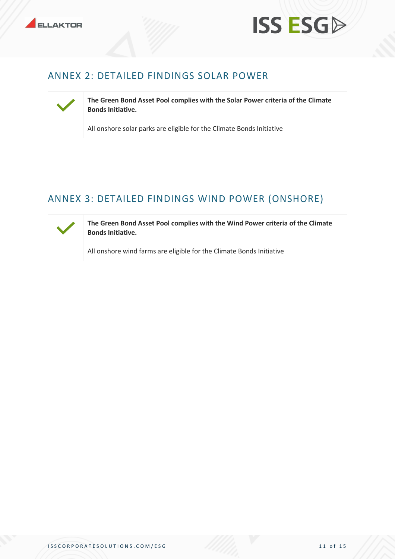



### ANNEX 2: DETAILED FINDINGS SOLAR POWER



**The Green Bond Asset Pool complies with the Solar Power criteria of the Climate Bonds Initiative.**

All onshore solar parks are eligible for the Climate Bonds Initiative

## ANNEX 3: DETAILED FINDINGS WIND POWER (ONSHORE)



**The Green Bond Asset Pool complies with the Wind Power criteria of the Climate Bonds Initiative.**

All onshore wind farms are eligible for the Climate Bonds Initiative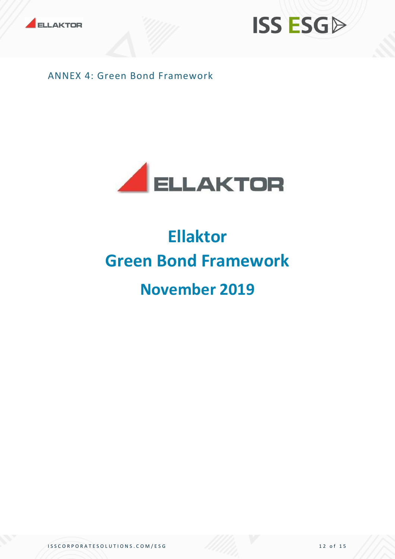



ANNEX 4: Green Bond Framework



## **Ellaktor Green Bond Framework November 2019**

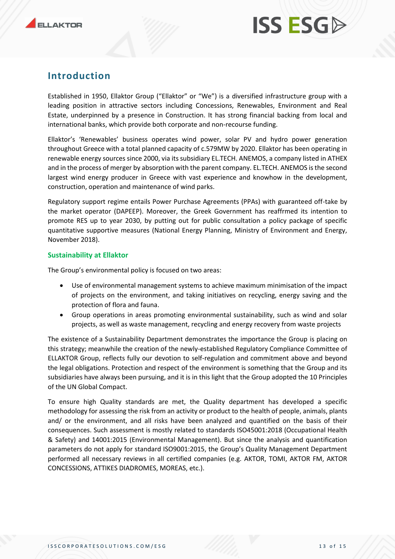### **Introduction**

Established in 1950, Ellaktor Group ("Ellaktor" or "We") is a diversified infrastructure group with a leading position in attractive sectors including Concessions, Renewables, Environment and Real Estate, underpinned by a presence in Construction. It has strong financial backing from local and international banks, which provide both corporate and non-recourse funding.

Ellaktor's 'Renewables' business operates wind power, solar PV and hydro power generation throughout Greece with a total planned capacity of c.579MW by 2020. Ellaktor has been operating in renewable energy sources since 2000, via its subsidiary EL.TECH. ANEMOS, a company listed in ATHEX and in the process of merger by absorption with the parent company. EL.TECH. ANEMOS is the second largest wind energy producer in Greece with vast experience and knowhow in the development, construction, operation and maintenance of wind parks.

Regulatory support regime entails Power Purchase Agreements (PPAs) with guaranteed off-take by the market operator (DAPEEP). Moreover, the Greek Government has reaffrmed its intention to promote RES up to year 2030, by putting out for public consultation a policy package of specific quantitative supportive measures (National Energy Planning, Ministry of Environment and Energy, November 2018).

#### **Sustainability at Ellaktor**

The Group's environmental policy is focused on two areas:

- Use of environmental management systems to achieve maximum minimisation of the impact of projects on the environment, and taking initiatives on recycling, energy saving and the protection of flora and fauna.
- Group operations in areas promoting environmental sustainability, such as wind and solar projects, as well as waste management, recycling and energy recovery from waste projects

The existence of a Sustainability Department demonstrates the importance the Group is placing on this strategy; meanwhile the creation of the newly-established Regulatory Compliance Committee of ELLAKTOR Group, reflects fully our devotion to self-regulation and commitment above and beyond the legal obligations. Protection and respect of the environment is something that the Group and its subsidiaries have always been pursuing, and it is in this light that the Group adopted the 10 Principles of the UN Global Compact.

To ensure high Quality standards are met, the Quality department has developed a specific methodology for assessing the risk from an activity or product to the health of people, animals, plants and/ or the environment, and all risks have been analyzed and quantified on the basis of their consequences. Such assessment is mostly related to standards ISO45001:2018 (Occupational Health & Safety) and 14001:2015 (Environmental Management). But since the analysis and quantification parameters do not apply for standard ISO9001:2015, the Group's Quality Management Department performed all necessary reviews in all certified companies (e.g. AKTOR, TOMI, AKTOR FM, AKTOR CONCESSIONS, ATTIKES DIADROMES, MOREAS, etc.).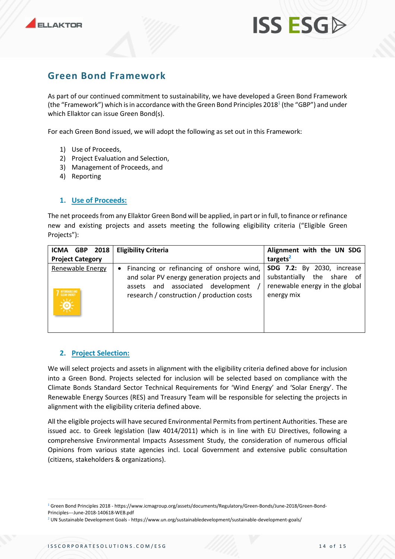### **Green Bond Framework**

As part of our continued commitment to sustainability, we have developed a Green Bond Framework (the "Framework") which is in accordance with the Green Bond Principles 2018 $^{\text{1}}$  (the "GBP") and under which Ellaktor can issue Green Bond(s).

For each Green Bond issued, we will adopt the following as set out in this Framework:

- 1) Use of Proceeds,
- 2) Project Evaluation and Selection,
- 3) Management of Proceeds, and
- 4) Reporting

#### **1. Use of Proceeds:**

The net proceeds from any Ellaktor Green Bond will be applied, in part or in full, to finance or refinance new and existing projects and assets meeting the following eligibility criteria ("Eligible Green Projects"):

| 2018<br>ICMA GBP                                        | <b>Eligibility Criteria</b>                                                                                                                                                                | Alignment with the UN SDG                                                                                          |
|---------------------------------------------------------|--------------------------------------------------------------------------------------------------------------------------------------------------------------------------------------------|--------------------------------------------------------------------------------------------------------------------|
| <b>Project Category</b>                                 |                                                                                                                                                                                            | targets <sup>2</sup>                                                                                               |
| Renewable Energy<br>AFFORDABLE AND<br>CLEAN ENERGY<br>美 | Financing or refinancing of onshore wind,  <br>$\bullet$<br>and solar PV energy generation projects and<br>assets and associated development<br>research / construction / production costs | <b>SDG 7.2:</b> By 2030, increase<br>substantially<br>the share of<br>renewable energy in the global<br>energy mix |

#### **2. Project Selection:**

We will select projects and assets in alignment with the eligibility criteria defined above for inclusion into a Green Bond. Projects selected for inclusion will be selected based on compliance with the Climate Bonds Standard Sector Technical Requirements for 'Wind Energy' and 'Solar Energy'. The Renewable Energy Sources (RES) and Treasury Team will be responsible for selecting the projects in alignment with the eligibility criteria defined above.

All the eligible projects will have secured Environmental Permits from pertinent Authorities. These are issued acc. to Greek legislation (law 4014/2011) which is in line with EU Directives, following a comprehensive Environmental Impacts Assessment Study, the consideration of numerous official Opinions from various state agencies incl. Local Government and extensive public consultation (citizens, stakeholders & organizations).

<sup>1</sup> Green Bond Principles 2018 - https://www.icmagroup.org/assets/documents/Regulatory/Green-Bonds/June-2018/Green-Bond-Principles---June-2018-140618-WEB.pdf

<sup>2</sup> UN Sustainable Development Goals - https://www.un.org/sustainabledevelopment/sustainable-development-goals/